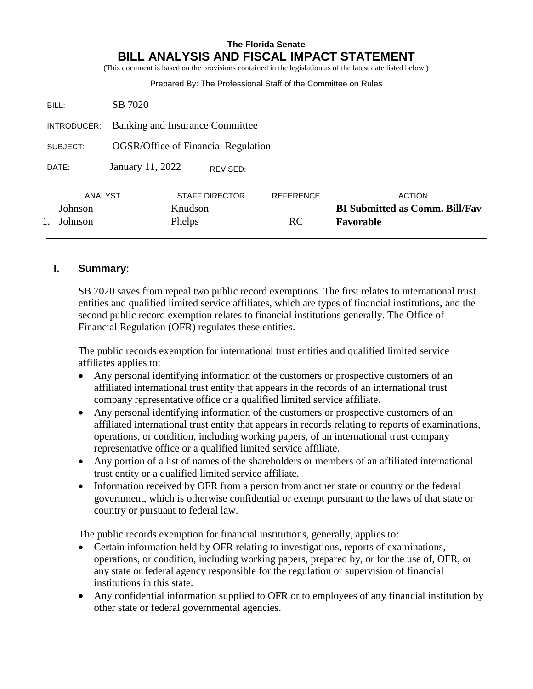# **The Florida Senate BILL ANALYSIS AND FISCAL IMPACT STATEMENT**

(This document is based on the provisions contained in the legislation as of the latest date listed below.)

| Prepared By: The Professional Staff of the Committee on Rules |                                            |         |                       |                  |                                       |
|---------------------------------------------------------------|--------------------------------------------|---------|-----------------------|------------------|---------------------------------------|
| BILL:                                                         | SB 7020                                    |         |                       |                  |                                       |
| INTRODUCER:                                                   | Banking and Insurance Committee            |         |                       |                  |                                       |
| SUBJECT:                                                      | <b>OGSR/Office of Financial Regulation</b> |         |                       |                  |                                       |
| DATE:                                                         | January 11, 2022<br>REVISED:               |         |                       |                  |                                       |
| ANALYST                                                       |                                            |         | <b>STAFF DIRECTOR</b> | <b>REFERENCE</b> | <b>ACTION</b>                         |
| Johnson                                                       |                                            | Knudson |                       |                  | <b>BI Submitted as Comm. Bill/Fav</b> |
| Johnson                                                       |                                            | Phelps  |                       | RC               | Favorable                             |
|                                                               |                                            |         |                       |                  |                                       |

# **I. Summary:**

SB 7020 saves from repeal two public record exemptions. The first relates to international trust entities and qualified limited service affiliates, which are types of financial institutions, and the second public record exemption relates to financial institutions generally. The Office of Financial Regulation (OFR) regulates these entities.

The public records exemption for international trust entities and qualified limited service affiliates applies to:

- Any personal identifying information of the customers or prospective customers of an affiliated international trust entity that appears in the records of an international trust company representative office or a qualified limited service affiliate.
- Any personal identifying information of the customers or prospective customers of an affiliated international trust entity that appears in records relating to reports of examinations, operations, or condition, including working papers, of an international trust company representative office or a qualified limited service affiliate.
- Any portion of a list of names of the shareholders or members of an affiliated international trust entity or a qualified limited service affiliate.
- Information received by OFR from a person from another state or country or the federal government, which is otherwise confidential or exempt pursuant to the laws of that state or country or pursuant to federal law.

The public records exemption for financial institutions, generally, applies to:

- Certain information held by OFR relating to investigations, reports of examinations, operations, or condition, including working papers, prepared by, or for the use of, OFR, or any state or federal agency responsible for the regulation or supervision of financial institutions in this state.
- Any confidential information supplied to OFR or to employees of any financial institution by other state or federal governmental agencies.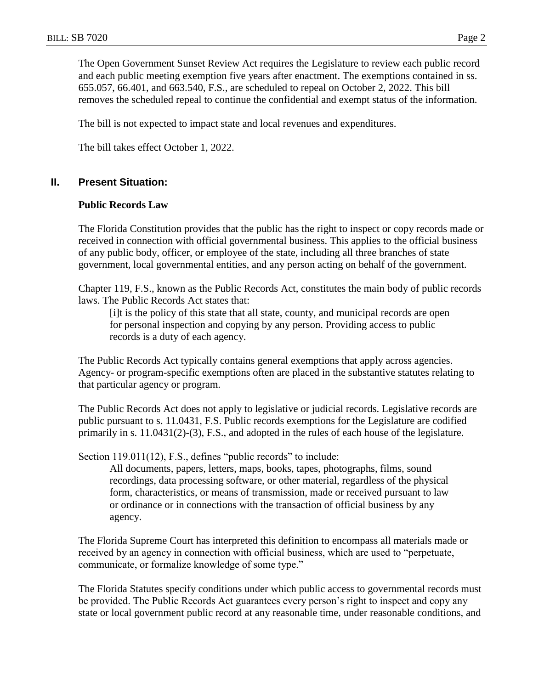The Open Government Sunset Review Act requires the Legislature to review each public record and each public meeting exemption five years after enactment. The exemptions contained in ss. 655.057, 66.401, and 663.540, F.S., are scheduled to repeal on October 2, 2022. This bill removes the scheduled repeal to continue the confidential and exempt status of the information.

The bill is not expected to impact state and local revenues and expenditures.

The bill takes effect October 1, 2022.

## **II. Present Situation:**

#### **Public Records Law**

The Florida Constitution provides that the public has the right to inspect or copy records made or received in connection with official governmental business. This applies to the official business of any public body, officer, or employee of the state, including all three branches of state government, local governmental entities, and any person acting on behalf of the government.

Chapter 119, F.S., known as the Public Records Act, constitutes the main body of public records laws. The Public Records Act states that:

[i]t is the policy of this state that all state, county, and municipal records are open for personal inspection and copying by any person. Providing access to public records is a duty of each agency.

The Public Records Act typically contains general exemptions that apply across agencies. Agency- or program-specific exemptions often are placed in the substantive statutes relating to that particular agency or program.

The Public Records Act does not apply to legislative or judicial records. Legislative records are public pursuant to s. 11.0431, F.S. Public records exemptions for the Legislature are codified primarily in s. 11.0431(2)-(3), F.S., and adopted in the rules of each house of the legislature.

Section 119.011(12), F.S., defines "public records" to include:

All documents, papers, letters, maps, books, tapes, photographs, films, sound recordings, data processing software, or other material, regardless of the physical form, characteristics, or means of transmission, made or received pursuant to law or ordinance or in connections with the transaction of official business by any agency.

The Florida Supreme Court has interpreted this definition to encompass all materials made or received by an agency in connection with official business, which are used to "perpetuate, communicate, or formalize knowledge of some type."

The Florida Statutes specify conditions under which public access to governmental records must be provided. The Public Records Act guarantees every person's right to inspect and copy any state or local government public record at any reasonable time, under reasonable conditions, and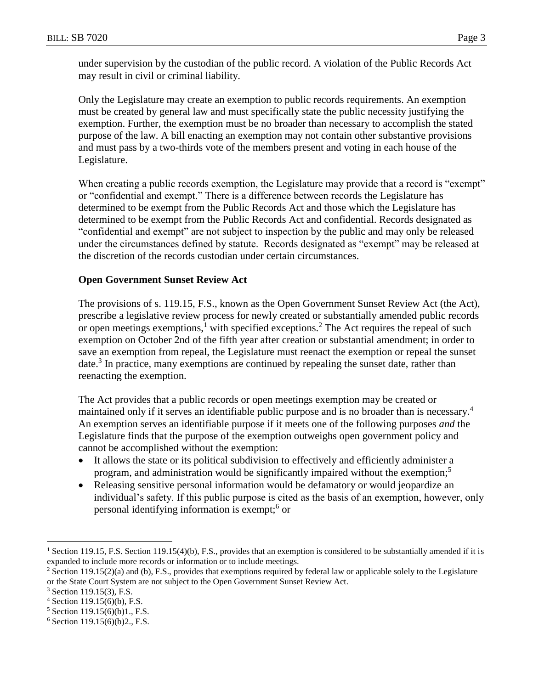under supervision by the custodian of the public record. A violation of the Public Records Act may result in civil or criminal liability.

Only the Legislature may create an exemption to public records requirements. An exemption must be created by general law and must specifically state the public necessity justifying the exemption. Further, the exemption must be no broader than necessary to accomplish the stated purpose of the law. A bill enacting an exemption may not contain other substantive provisions and must pass by a two-thirds vote of the members present and voting in each house of the Legislature.

When creating a public records exemption, the Legislature may provide that a record is "exempt" or "confidential and exempt." There is a difference between records the Legislature has determined to be exempt from the Public Records Act and those which the Legislature has determined to be exempt from the Public Records Act and confidential. Records designated as "confidential and exempt" are not subject to inspection by the public and may only be released under the circumstances defined by statute. Records designated as "exempt" may be released at the discretion of the records custodian under certain circumstances.

# **Open Government Sunset Review Act**

The provisions of s. 119.15, F.S., known as the Open Government Sunset Review Act (the Act), prescribe a legislative review process for newly created or substantially amended public records or open meetings exemptions,<sup>1</sup> with specified exceptions.<sup>2</sup> The Act requires the repeal of such exemption on October 2nd of the fifth year after creation or substantial amendment; in order to save an exemption from repeal, the Legislature must reenact the exemption or repeal the sunset date.<sup>3</sup> In practice, many exemptions are continued by repealing the sunset date, rather than reenacting the exemption.

The Act provides that a public records or open meetings exemption may be created or maintained only if it serves an identifiable public purpose and is no broader than is necessary.<sup>4</sup> An exemption serves an identifiable purpose if it meets one of the following purposes *and* the Legislature finds that the purpose of the exemption outweighs open government policy and cannot be accomplished without the exemption:

- It allows the state or its political subdivision to effectively and efficiently administer a program, and administration would be significantly impaired without the exemption;<sup>5</sup>
- Releasing sensitive personal information would be defamatory or would jeopardize an individual's safety. If this public purpose is cited as the basis of an exemption, however, only personal identifying information is exempt;<sup>6</sup> or

 $\overline{a}$ 

<sup>&</sup>lt;sup>1</sup> Section 119.15, F.S. Section 119.15(4)(b), F.S., provides that an exemption is considered to be substantially amended if it is expanded to include more records or information or to include meetings.

<sup>&</sup>lt;sup>2</sup> Section 119.15(2)(a) and (b), F.S., provides that exemptions required by federal law or applicable solely to the Legislature or the State Court System are not subject to the Open Government Sunset Review Act.

<sup>3</sup> Section 119.15(3), F.S.

<sup>4</sup> Section 119.15(6)(b), F.S.

<sup>5</sup> Section 119.15(6)(b)1., F.S.

<sup>6</sup> Section 119.15(6)(b)2., F.S.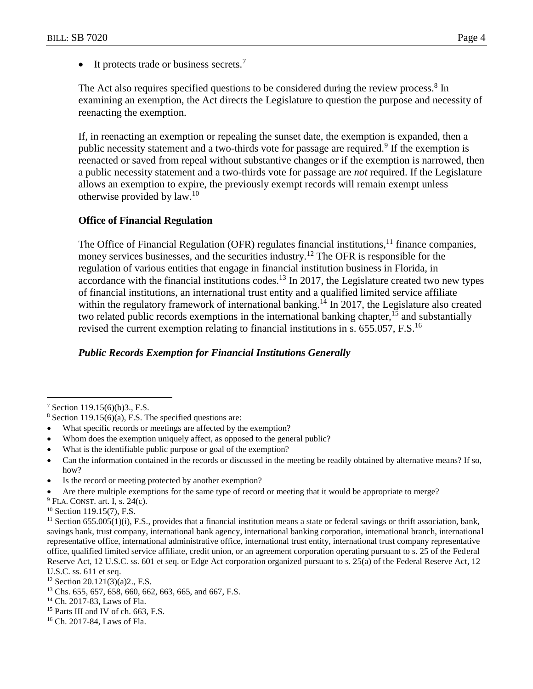$\bullet$  It protects trade or business secrets.<sup>7</sup>

The Act also requires specified questions to be considered during the review process.<sup>8</sup> In examining an exemption, the Act directs the Legislature to question the purpose and necessity of reenacting the exemption.

If, in reenacting an exemption or repealing the sunset date, the exemption is expanded, then a public necessity statement and a two-thirds vote for passage are required.<sup>9</sup> If the exemption is reenacted or saved from repeal without substantive changes or if the exemption is narrowed, then a public necessity statement and a two-thirds vote for passage are *not* required. If the Legislature allows an exemption to expire, the previously exempt records will remain exempt unless otherwise provided by law.<sup>10</sup>

# **Office of Financial Regulation**

The Office of Financial Regulation (OFR) regulates financial institutions, $11$  finance companies, money services businesses, and the securities industry.<sup>12</sup> The OFR is responsible for the regulation of various entities that engage in financial institution business in Florida, in accordance with the financial institutions codes.<sup>13</sup> In 2017, the Legislature created two new types of financial institutions, an international trust entity and a qualified limited service affiliate within the regulatory framework of international banking.<sup>14</sup> In 2017, the Legislature also created two related public records exemptions in the international banking chapter,  $15$  and substantially revised the current exemption relating to financial institutions in s.  $655.057$ , F.S.<sup>16</sup>

# *Public Records Exemption for Financial Institutions Generally*

 $\overline{a}$ 

- Whom does the exemption uniquely affect, as opposed to the general public?
- What is the identifiable public purpose or goal of the exemption?
- Can the information contained in the records or discussed in the meeting be readily obtained by alternative means? If so, how?
- Is the record or meeting protected by another exemption?
- Are there multiple exemptions for the same type of record or meeting that it would be appropriate to merge?
- $9$  FLA. CONST. art. I, s. 24(c).

<sup>15</sup> Parts III and IV of ch. 663, F.S.

<sup>7</sup> Section 119.15(6)(b)3., F.S.

 $8$  Section 119.15(6)(a), F.S. The specified questions are:

What specific records or meetings are affected by the exemption?

 $10$  Section 119.15(7), F.S.

 $11$  Section 655.005(1)(i), F.S., provides that a financial institution means a state or federal savings or thrift association, bank, savings bank, trust company, international bank agency, international banking corporation, international branch, international representative office, international administrative office, international trust entity, international trust company representative office, qualified limited service affiliate, credit union, or an agreement corporation operating pursuant to s. 25 of the Federal Reserve Act, 12 U.S.C. ss. 601 et seq. or Edge Act corporation organized pursuant to s. 25(a) of the Federal Reserve Act, 12 U.S.C. ss. 611 et seq.

 $12$  Section 20.121(3)(a)2., F.S.

<sup>13</sup> Chs. 655, 657, 658, 660, 662, 663, 665, and 667, F.S.

<sup>14</sup> Ch. 2017-83, Laws of Fla.

<sup>16</sup> Ch. 2017-84, Laws of Fla.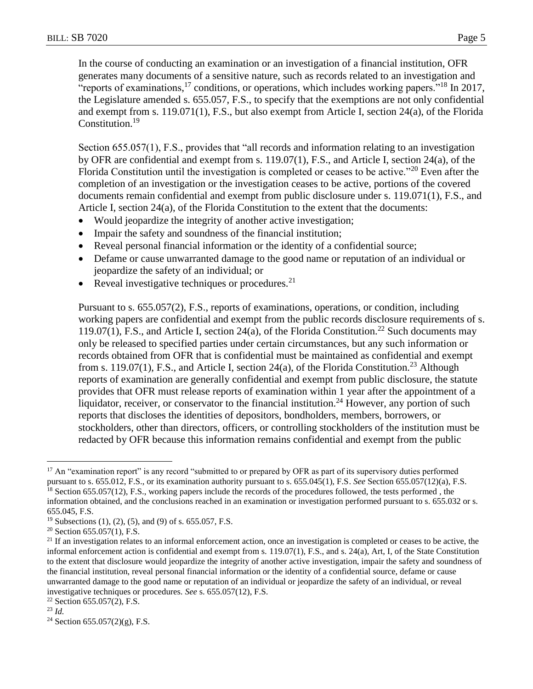In the course of conducting an examination or an investigation of a financial institution, OFR generates many documents of a sensitive nature, such as records related to an investigation and "reports of examinations,<sup>17</sup> conditions, or operations, which includes working papers."<sup>18</sup> In 2017, the Legislature amended s. 655.057, F.S., to specify that the exemptions are not only confidential and exempt from s. 119.071(1), F.S., but also exempt from Article I, section 24(a), of the Florida Constitution.<sup>19</sup>

Section 655.057(1), F.S., provides that "all records and information relating to an investigation by OFR are confidential and exempt from s. 119.07(1), F.S., and Article I, section 24(a), of the Florida Constitution until the investigation is completed or ceases to be active."<sup>20</sup> Even after the completion of an investigation or the investigation ceases to be active, portions of the covered documents remain confidential and exempt from public disclosure under s. 119.071(1), F.S., and Article I, section 24(a), of the Florida Constitution to the extent that the documents:

- Would jeopardize the integrity of another active investigation;
- Impair the safety and soundness of the financial institution;
- Reveal personal financial information or the identity of a confidential source;
- Defame or cause unwarranted damage to the good name or reputation of an individual or jeopardize the safety of an individual; or
- Reveal investigative techniques or procedures. $^{21}$

Pursuant to s. 655.057(2), F.S., reports of examinations, operations, or condition, including working papers are confidential and exempt from the public records disclosure requirements of s. 119.07(1), F.S., and Article I, section 24(a), of the Florida Constitution.<sup>22</sup> Such documents may only be released to specified parties under certain circumstances, but any such information or records obtained from OFR that is confidential must be maintained as confidential and exempt from s. 119.07(1), F.S., and Article I, section 24(a), of the Florida Constitution.<sup>23</sup> Although reports of examination are generally confidential and exempt from public disclosure, the statute provides that OFR must release reports of examination within 1 year after the appointment of a liquidator, receiver, or conservator to the financial institution.<sup>24</sup> However, any portion of such reports that discloses the identities of depositors, bondholders, members, borrowers, or stockholders, other than directors, officers, or controlling stockholders of the institution must be redacted by OFR because this information remains confidential and exempt from the public

 $\overline{a}$ <sup>17</sup> An "examination report" is any record "submitted to or prepared by OFR as part of its supervisory duties performed pursuant to s. 655.012, F.S., or its examination authority pursuant to s. 655.045(1), F.S. *See* Section 655.057(12)(a), F.S.

<sup>&</sup>lt;sup>18</sup> Section 655.057(12), F.S., working papers include the records of the procedures followed, the tests performed, the information obtained, and the conclusions reached in an examination or investigation performed pursuant to s. 655.032 or s. 655.045, F.S.

<sup>&</sup>lt;sup>19</sup> Subsections (1), (2), (5), and (9) of s. 655.057, F.S.

<sup>&</sup>lt;sup>20</sup> Section 655.057(1), F.S.

<sup>&</sup>lt;sup>21</sup> If an investigation relates to an informal enforcement action, once an investigation is completed or ceases to be active, the informal enforcement action is confidential and exempt from s. 119.07(1), F.S., and s. 24(a), Art, I, of the State Constitution to the extent that disclosure would jeopardize the integrity of another active investigation, impair the safety and soundness of the financial institution, reveal personal financial information or the identity of a confidential source, defame or cause unwarranted damage to the good name or reputation of an individual or jeopardize the safety of an individual, or reveal investigative techniques or procedures. *See* s. 655.057(12), F.S.

<sup>22</sup> Section 655.057(2), F.S.

<sup>23</sup> *Id.*

<sup>&</sup>lt;sup>24</sup> Section 655.057(2)(g), F.S.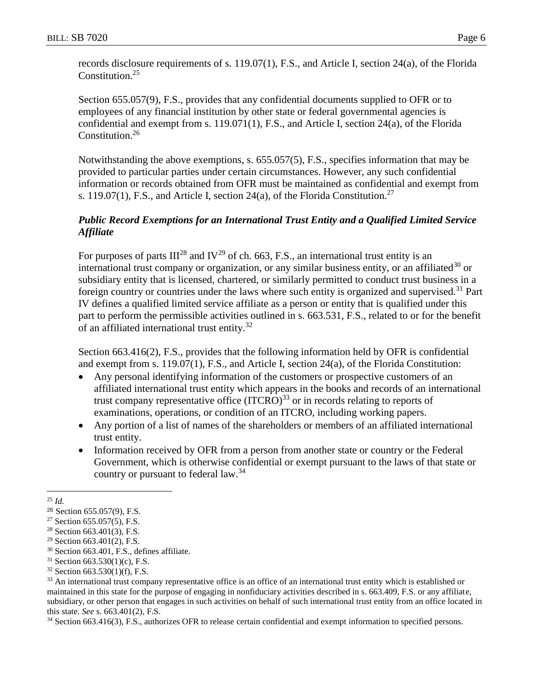records disclosure requirements of s. 119.07(1), F.S., and Article I, section 24(a), of the Florida Constitution.<sup>25</sup>

Section 655.057(9), F.S., provides that any confidential documents supplied to OFR or to employees of any financial institution by other state or federal governmental agencies is confidential and exempt from s. 119.071(1), F.S., and Article I, section 24(a), of the Florida Constitution. 26

Notwithstanding the above exemptions, s. 655.057(5), F.S., specifies information that may be provided to particular parties under certain circumstances. However, any such confidential information or records obtained from OFR must be maintained as confidential and exempt from s. 119.07(1), F.S., and Article I, section 24(a), of the Florida Constitution.<sup>27</sup>

# *Public Record Exemptions for an International Trust Entity and a Qualified Limited Service Affiliate*

For purposes of parts  $III^{28}$  and IV<sup>29</sup> of ch. 663, F.S., an international trust entity is an international trust company or organization, or any similar business entity, or an affiliated<sup>30</sup> or subsidiary entity that is licensed, chartered, or similarly permitted to conduct trust business in a foreign country or countries under the laws where such entity is organized and supervised.<sup>31</sup> Part IV defines a qualified limited service affiliate as a person or entity that is qualified under this part to perform the permissible activities outlined in s. 663.531, F.S., related to or for the benefit of an affiliated international trust entity.<sup>32</sup>

Section 663.416(2), F.S., provides that the following information held by OFR is confidential and exempt from s. 119.07(1), F.S., and Article I, section 24(a), of the Florida Constitution:

- Any personal identifying information of the customers or prospective customers of an affiliated international trust entity which appears in the books and records of an international trust company representative office  $(ITCRO)^{33}$  or in records relating to reports of examinations, operations, or condition of an ITCRO, including working papers.
- Any portion of a list of names of the shareholders or members of an affiliated international trust entity.
- Information received by OFR from a person from another state or country or the Federal Government, which is otherwise confidential or exempt pursuant to the laws of that state or country or pursuant to federal law.<sup>34</sup>

<sup>34</sup> Section 663.416(3), F.S., authorizes OFR to release certain confidential and exempt information to specified persons.

 $\overline{a}$ <sup>25</sup> *Id.*

<sup>26</sup> Section 655.057(9), F.S.

 $27$  Section 655.057(5), F.S.

<sup>28</sup> Section 663.401(3), F.S.

<sup>29</sup> Section 663.401(2), F.S.

<sup>30</sup> Section 663.401, F.S., defines affiliate.

 $31$  Section 663.530(1)(c), F.S.

 $32$  Section 663.530(1)(f), F.S.

<sup>&</sup>lt;sup>33</sup> An international trust company representative office is an office of an international trust entity which is established or maintained in this state for the purpose of engaging in nonfiduciary activities described in s. 663.409, F.S. or any affiliate, subsidiary, or other person that engages in such activities on behalf of such international trust entity from an office located in this state. *See* s. 663.401(2), F.S.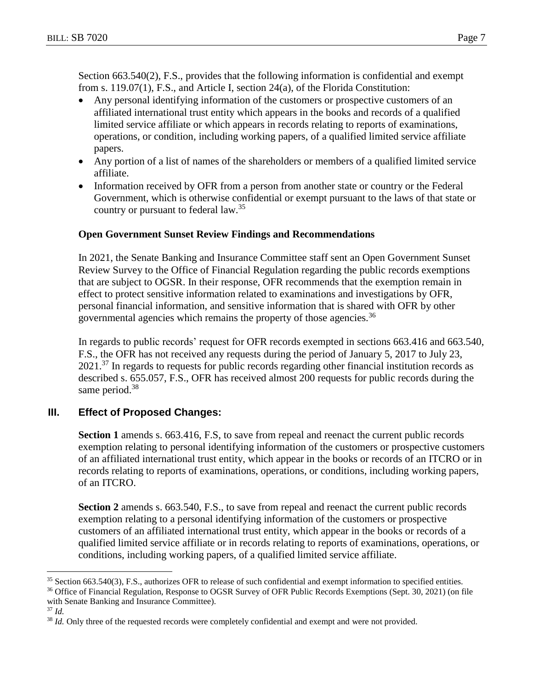Section 663.540(2), F.S., provides that the following information is confidential and exempt from s. 119.07(1), F.S., and Article I, section 24(a), of the Florida Constitution:

- Any personal identifying information of the customers or prospective customers of an affiliated international trust entity which appears in the books and records of a qualified limited service affiliate or which appears in records relating to reports of examinations, operations, or condition, including working papers, of a qualified limited service affiliate papers.
- Any portion of a list of names of the shareholders or members of a qualified limited service affiliate.
- Information received by OFR from a person from another state or country or the Federal Government, which is otherwise confidential or exempt pursuant to the laws of that state or country or pursuant to federal law.<sup>35</sup>

# **Open Government Sunset Review Findings and Recommendations**

In 2021, the Senate Banking and Insurance Committee staff sent an Open Government Sunset Review Survey to the Office of Financial Regulation regarding the public records exemptions that are subject to OGSR. In their response, OFR recommends that the exemption remain in effect to protect sensitive information related to examinations and investigations by OFR, personal financial information, and sensitive information that is shared with OFR by other governmental agencies which remains the property of those agencies.<sup>36</sup>

In regards to public records' request for OFR records exempted in sections 663.416 and 663.540, F.S., the OFR has not received any requests during the period of January 5, 2017 to July 23,  $2021$ <sup>37</sup> In regards to requests for public records regarding other financial institution records as described s. 655.057, F.S., OFR has received almost 200 requests for public records during the same period.<sup>38</sup>

# **III. Effect of Proposed Changes:**

Section 1 amends s. 663.416, F.S, to save from repeal and reenact the current public records exemption relating to personal identifying information of the customers or prospective customers of an affiliated international trust entity, which appear in the books or records of an ITCRO or in records relating to reports of examinations, operations, or conditions, including working papers, of an ITCRO.

**Section 2** amends s. 663.540, F.S., to save from repeal and reenact the current public records exemption relating to a personal identifying information of the customers or prospective customers of an affiliated international trust entity, which appear in the books or records of a qualified limited service affiliate or in records relating to reports of examinations, operations, or conditions, including working papers, of a qualified limited service affiliate.

<sup>36</sup> Office of Financial Regulation, Response to OGSR Survey of OFR Public Records Exemptions (Sept. 30, 2021) (on file with Senate Banking and Insurance Committee).

 $\overline{a}$ <sup>35</sup> Section 663.540(3), F.S., authorizes OFR to release of such confidential and exempt information to specified entities.

<sup>37</sup> *Id.*

<sup>&</sup>lt;sup>38</sup> *Id.* Only three of the requested records were completely confidential and exempt and were not provided.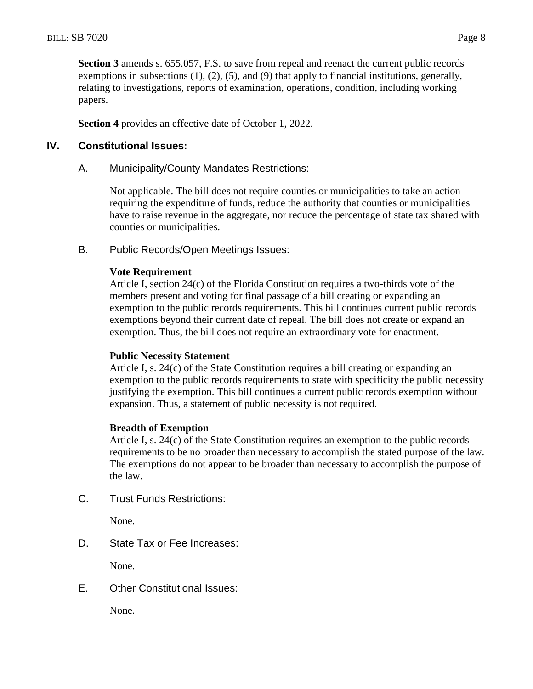**Section 3** amends s. 655.057, F.S. to save from repeal and reenact the current public records exemptions in subsections (1), (2), (5), and (9) that apply to financial institutions, generally, relating to investigations, reports of examination, operations, condition, including working papers.

**Section 4** provides an effective date of October 1, 2022.

## **IV. Constitutional Issues:**

A. Municipality/County Mandates Restrictions:

Not applicable. The bill does not require counties or municipalities to take an action requiring the expenditure of funds, reduce the authority that counties or municipalities have to raise revenue in the aggregate, nor reduce the percentage of state tax shared with counties or municipalities.

B. Public Records/Open Meetings Issues:

#### **Vote Requirement**

Article I, section 24(c) of the Florida Constitution requires a two-thirds vote of the members present and voting for final passage of a bill creating or expanding an exemption to the public records requirements. This bill continues current public records exemptions beyond their current date of repeal. The bill does not create or expand an exemption. Thus, the bill does not require an extraordinary vote for enactment.

#### **Public Necessity Statement**

Article I, s. 24(c) of the State Constitution requires a bill creating or expanding an exemption to the public records requirements to state with specificity the public necessity justifying the exemption. This bill continues a current public records exemption without expansion. Thus, a statement of public necessity is not required.

#### **Breadth of Exemption**

Article I, s. 24(c) of the State Constitution requires an exemption to the public records requirements to be no broader than necessary to accomplish the stated purpose of the law. The exemptions do not appear to be broader than necessary to accomplish the purpose of the law.

C. Trust Funds Restrictions:

None.

D. State Tax or Fee Increases:

None.

E. Other Constitutional Issues:

None.